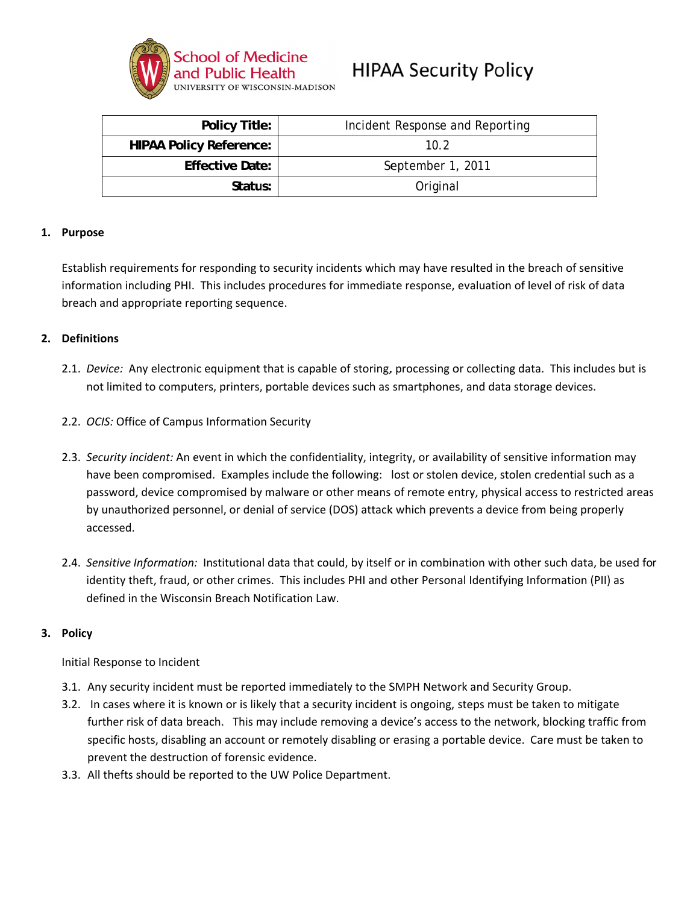

# **HIPAA Security Policy**

| <b>Policy Title:</b>           | Incident Response and Reporting |
|--------------------------------|---------------------------------|
| <b>HIPAA Policy Reference:</b> | 10.2                            |
| <b>Effective Date:</b>         | September 1, 2011               |
| Status:                        | Original                        |

#### 1. Purpose

Establish requirements for responding to security incidents which may have resulted in the breach of sensitive information including PHI. This includes procedures for immediate response, evaluation of level of risk of data breach and appropriate reporting sequence.

## 2. Definitions

- 2.1. Device: Any electronic equipment that is capable of storing, processing or collecting data. This includes but is not limited to computers, printers, portable devices such as smartphones, and data storage devices.
- 2.2. OCIS: Office of Campus Information Security
- 2.3. Security incident: An event in which the confidentiality, integrity, or availability of sensitive information may have been compromised. Examples include the following: lost or stolen device, stolen credential such as a password, device compromised by malware or other means of remote entry, physical access to restricted areas by unauthorized personnel, or denial of service (DOS) attack which prevents a device from being properly accessed.
- 2.4. Sensitive Information: Institutional data that could, by itself or in combination with other such data, be used for identity theft, fraud, or other crimes. This includes PHI and other Personal Identifying Information (PII) as defined in the Wisconsin Breach Notification Law.

#### 3. Policy

Initial Response to Incident

- 3.1. Any security incident must be reported immediately to the SMPH Network and Security Group.
- 3.2. In cases where it is known or is likely that a security incident is ongoing, steps must be taken to mitigate further risk of data breach. This may include removing a device's access to the network, blocking traffic from specific hosts, disabling an account or remotely disabling or erasing a portable device. Care must be taken to prevent the destruction of forensic evidence.
- 3.3. All thefts should be reported to the UW Police Department.